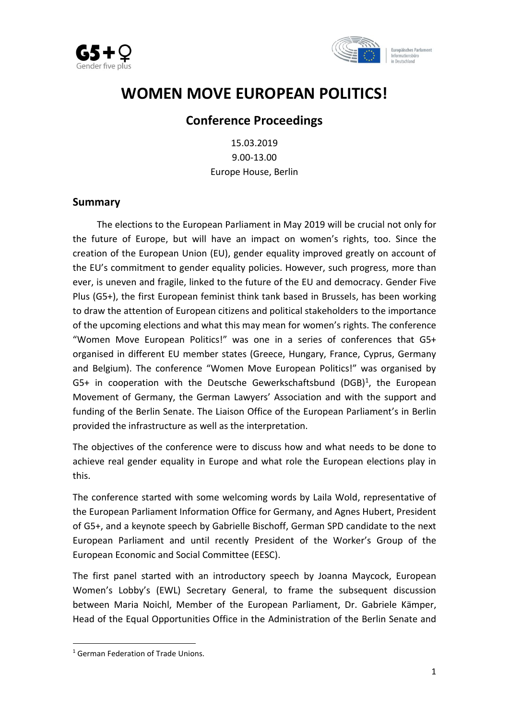



# **WOMEN MOVE EUROPEAN POLITICS!**

# **Conference Proceedings**

15.03.2019 9.00-13.00 Europe House, Berlin

## **Summary**

The elections to the European Parliament in May 2019 will be crucial not only for the future of Europe, but will have an impact on women's rights, too. Since the creation of the European Union (EU), gender equality improved greatly on account of the EU's commitment to gender equality policies. However, such progress, more than ever, is uneven and fragile, linked to the future of the EU and democracy. Gender Five Plus (G5+), the first European feminist think tank based in Brussels, has been working to draw the attention of European citizens and political stakeholders to the importance of the upcoming elections and what this may mean for women's rights. The conference "Women Move European Politics!" was one in a series of conferences that G5+ organised in different EU member states (Greece, Hungary, France, Cyprus, Germany and Belgium). The conference "Women Move European Politics!" was organised by G5+ in cooperation with the Deutsche Gewerkschaftsbund (DGB)<sup>1</sup>, the European Movement of Germany, the German Lawyers' Association and with the support and funding of the Berlin Senate. The Liaison Office of the European Parliament's in Berlin provided the infrastructure as well as the interpretation.

The objectives of the conference were to discuss how and what needs to be done to achieve real gender equality in Europe and what role the European elections play in this.

The conference started with some welcoming words by Laila Wold, representative of the European Parliament Information Office for Germany, and Agnes Hubert, President of G5+, and a keynote speech by Gabrielle Bischoff, German SPD candidate to the next European Parliament and until recently President of the Worker's Group of the European Economic and Social Committee (EESC).

The first panel started with an introductory speech by Joanna Maycock, European Women's Lobby's (EWL) Secretary General, to frame the subsequent discussion between Maria Noichl, Member of the European Parliament, Dr. Gabriele Kämper, Head of the Equal Opportunities Office in the Administration of the Berlin Senate and

1

<sup>1</sup> German Federation of Trade Unions.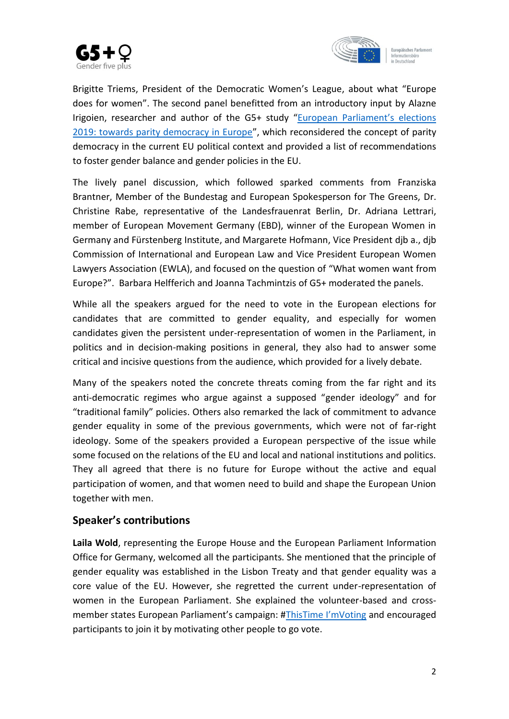



Brigitte Triems, President of the Democratic Women's League, about what "Europe does for women". The second panel benefitted from an introductory input by Alazne Irigoien, researcher and author of the G5+ study ["European Parliament's elections](https://docs.wixstatic.com/ugd/530efa_2a575f9fa3dc45afb68e4ffb516fef30.pdf)  [2019: towards parity democracy in Europe](https://docs.wixstatic.com/ugd/530efa_2a575f9fa3dc45afb68e4ffb516fef30.pdf)", which reconsidered the concept of parity democracy in the current EU political context and provided a list of recommendations to foster gender balance and gender policies in the EU.

The lively panel discussion, which followed sparked comments from Franziska Brantner, Member of the Bundestag and European Spokesperson for The Greens, Dr. Christine Rabe, representative of the Landesfrauenrat Berlin, Dr. Adriana Lettrari, member of European Movement Germany (EBD), winner of the European Women in Germany and Fürstenberg Institute, and Margarete Hofmann, Vice President djb a., djb Commission of International and European Law and Vice President European Women Lawyers Association (EWLA), and focused on the question of "What women want from Europe?". Barbara Helfferich and Joanna Tachmintzis of G5+ moderated the panels.

While all the speakers argued for the need to vote in the European elections for candidates that are committed to gender equality, and especially for women candidates given the persistent under-representation of women in the Parliament, in politics and in decision-making positions in general, they also had to answer some critical and incisive questions from the audience, which provided for a lively debate.

Many of the speakers noted the concrete threats coming from the far right and its anti-democratic regimes who argue against a supposed "gender ideology" and for "traditional family" policies. Others also remarked the lack of commitment to advance gender equality in some of the previous governments, which were not of far-right ideology. Some of the speakers provided a European perspective of the issue while some focused on the relations of the EU and local and national institutions and politics. They all agreed that there is no future for Europe without the active and equal participation of women, and that women need to build and shape the European Union together with men.

## **Speaker's contributions**

**Laila Wold**, representing the Europe House and the European Parliament Information Office for Germany, welcomed all the participants. She mentioned that the principle of gender equality was established in the Lisbon Treaty and that gender equality was a core value of the EU. However, she regretted the current under-representation of women in the European Parliament. She explained the volunteer-based and crossmember states European Parliament's campaign: #ThisTime [I'mVoting](https://www.thistimeimvoting.eu/) and encouraged participants to join it by motivating other people to go vote.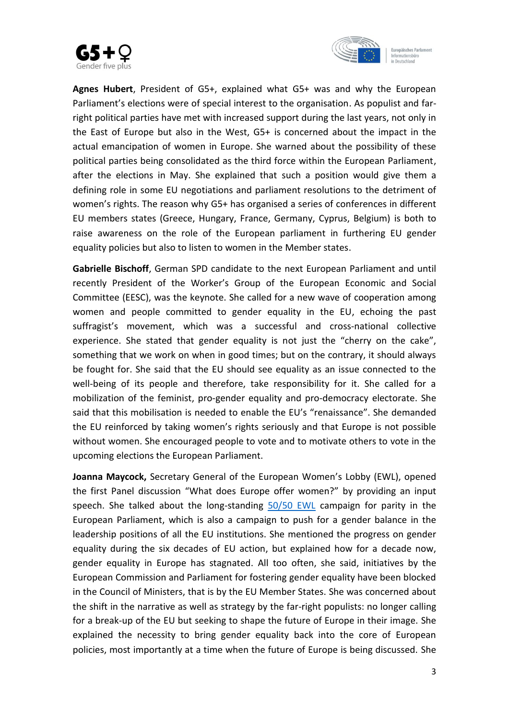



**Agnes Hubert**, President of G5+, explained what G5+ was and why the European Parliament's elections were of special interest to the organisation. As populist and farright political parties have met with increased support during the last years, not only in the East of Europe but also in the West, G5+ is concerned about the impact in the actual emancipation of women in Europe. She warned about the possibility of these political parties being consolidated as the third force within the European Parliament, after the elections in May. She explained that such a position would give them a defining role in some EU negotiations and parliament resolutions to the detriment of women's rights. The reason why G5+ has organised a series of conferences in different EU members states (Greece, Hungary, France, Germany, Cyprus, Belgium) is both to raise awareness on the role of the European parliament in furthering EU gender equality policies but also to listen to women in the Member states.

**Gabrielle Bischoff**, German SPD candidate to the next European Parliament and until recently President of the Worker's Group of the European Economic and Social Committee (EESC), was the keynote. She called for a new wave of cooperation among women and people committed to gender equality in the EU, echoing the past suffragist's movement, which was a successful and cross-national collective experience. She stated that gender equality is not just the "cherry on the cake", something that we work on when in good times; but on the contrary, it should always be fought for. She said that the EU should see equality as an issue connected to the well-being of its people and therefore, take responsibility for it. She called for a mobilization of the feminist, pro-gender equality and pro-democracy electorate. She said that this mobilisation is needed to enable the EU's "renaissance". She demanded the EU reinforced by taking women's rights seriously and that Europe is not possible without women. She encouraged people to vote and to motivate others to vote in the upcoming elections the European Parliament.

**Joanna Maycock,** Secretary General of the European Women's Lobby (EWL), opened the first Panel discussion "What does Europe offer women?" by providing an input speech. She talked about the long-standing  $50/50$  EWL campaign for parity in the European Parliament, which is also a campaign to push for a gender balance in the leadership positions of all the EU institutions. She mentioned the progress on gender equality during the six decades of EU action, but explained how for a decade now, gender equality in Europe has stagnated. All too often, she said, initiatives by the European Commission and Parliament for fostering gender equality have been blocked in the Council of Ministers, that is by the EU Member States. She was concerned about the shift in the narrative as well as strategy by the far-right populists: no longer calling for a break-up of the EU but seeking to shape the future of Europe in their image. She explained the necessity to bring gender equality back into the core of European policies, most importantly at a time when the future of Europe is being discussed. She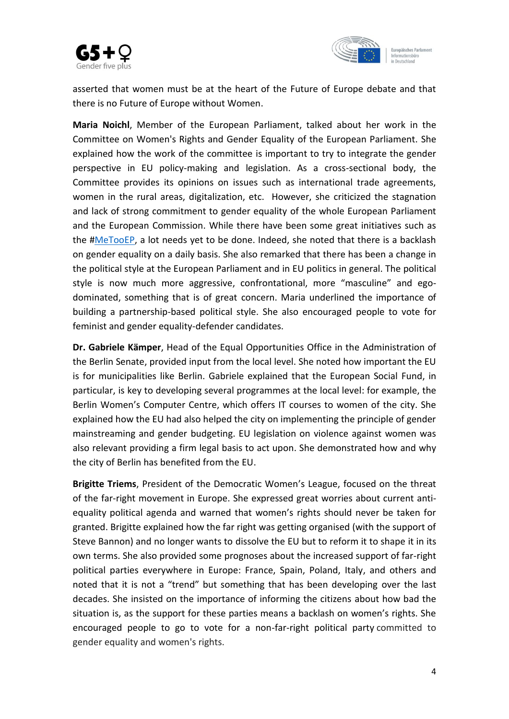



asserted that women must be at the heart of the Future of Europe debate and that there is no Future of Europe without Women.

**Maria Noichl**, Member of the European Parliament, talked about her work in the Committee on Women's Rights and Gender Equality of the European Parliament. She explained how the work of the committee is important to try to integrate the gender perspective in EU policy-making and legislation. As a cross-sectional body, the Committee provides its opinions on issues such as international trade agreements, women in the rural areas, digitalization, etc. However, she criticized the stagnation and lack of strong commitment to gender equality of the whole European Parliament and the European Commission. While there have been some great initiatives such as the [#MeTooEP,](https://metooep.com/) a lot needs yet to be done. Indeed, she noted that there is a backlash on gender equality on a daily basis. She also remarked that there has been a change in the political style at the European Parliament and in EU politics in general. The political style is now much more aggressive, confrontational, more "masculine" and egodominated, something that is of great concern. Maria underlined the importance of building a partnership-based political style. She also encouraged people to vote for feminist and gender equality-defender candidates.

**Dr. Gabriele Kämper**, Head of the Equal Opportunities Office in the Administration of the Berlin Senate, provided input from the local level. She noted how important the EU is for municipalities like Berlin. Gabriele explained that the European Social Fund, in particular, is key to developing several programmes at the local level: for example, the Berlin Women's Computer Centre, which offers IT courses to women of the city. She explained how the EU had also helped the city on implementing the principle of gender mainstreaming and gender budgeting. EU legislation on violence against women was also relevant providing a firm legal basis to act upon. She demonstrated how and why the city of Berlin has benefited from the EU.

**Brigitte Triems**, President of the Democratic Women's League, focused on the threat of the far-right movement in Europe. She expressed great worries about current antiequality political agenda and warned that women's rights should never be taken for granted. Brigitte explained how the far right was getting organised (with the support of Steve Bannon) and no longer wants to dissolve the EU but to reform it to shape it in its own terms. She also provided some prognoses about the increased support of far-right political parties everywhere in Europe: France, Spain, Poland, Italy, and others and noted that it is not a "trend" but something that has been developing over the last decades. She insisted on the importance of informing the citizens about how bad the situation is, as the support for these parties means a backlash on women's rights. She encouraged people to go to vote for a non-far-right political party committed to gender equality and women's rights.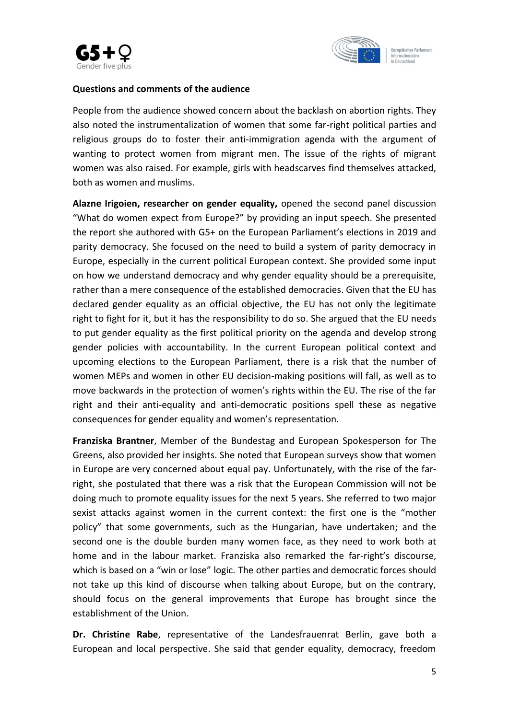



#### **Questions and comments of the audience**

People from the audience showed concern about the backlash on abortion rights. They also noted the instrumentalization of women that some far-right political parties and religious groups do to foster their anti-immigration agenda with the argument of wanting to protect women from migrant men. The issue of the rights of migrant women was also raised. For example, girls with headscarves find themselves attacked, both as women and muslims.

**Alazne Irigoien, researcher on gender equality,** opened the second panel discussion "What do women expect from Europe?" by providing an input speech. She presented the report she authored with G5+ on the European Parliament's elections in 2019 and parity democracy. She focused on the need to build a system of parity democracy in Europe, especially in the current political European context. She provided some input on how we understand democracy and why gender equality should be a prerequisite, rather than a mere consequence of the established democracies. Given that the EU has declared gender equality as an official objective, the EU has not only the legitimate right to fight for it, but it has the responsibility to do so. She argued that the EU needs to put gender equality as the first political priority on the agenda and develop strong gender policies with accountability. In the current European political context and upcoming elections to the European Parliament, there is a risk that the number of women MEPs and women in other EU decision-making positions will fall, as well as to move backwards in the protection of women's rights within the EU. The rise of the far right and their anti-equality and anti-democratic positions spell these as negative consequences for gender equality and women's representation.

**Franziska Brantner**, Member of the Bundestag and European Spokesperson for The Greens, also provided her insights. She noted that European surveys show that women in Europe are very concerned about equal pay. Unfortunately, with the rise of the farright, she postulated that there was a risk that the European Commission will not be doing much to promote equality issues for the next 5 years. She referred to two major sexist attacks against women in the current context: the first one is the "mother policy" that some governments, such as the Hungarian, have undertaken; and the second one is the double burden many women face, as they need to work both at home and in the labour market. Franziska also remarked the far-right's discourse, which is based on a "win or lose" logic. The other parties and democratic forces should not take up this kind of discourse when talking about Europe, but on the contrary, should focus on the general improvements that Europe has brought since the establishment of the Union.

**Dr. Christine Rabe**, representative of the Landesfrauenrat Berlin, gave both a European and local perspective. She said that gender equality, democracy, freedom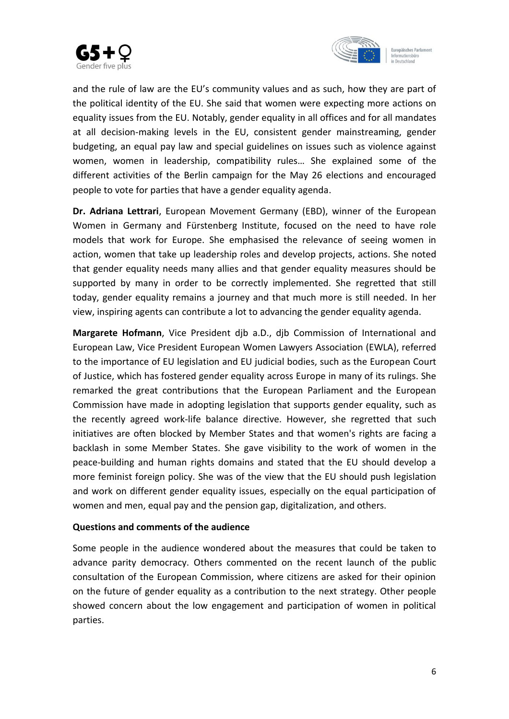



and the rule of law are the EU's community values and as such, how they are part of the political identity of the EU. She said that women were expecting more actions on equality issues from the EU. Notably, gender equality in all offices and for all mandates at all decision-making levels in the EU, consistent gender mainstreaming, gender budgeting, an equal pay law and special guidelines on issues such as violence against women, women in leadership, compatibility rules… She explained some of the different activities of the Berlin campaign for the May 26 elections and encouraged people to vote for parties that have a gender equality agenda.

**Dr. Adriana Lettrari**, European Movement Germany (EBD), winner of the European Women in Germany and Fürstenberg Institute, focused on the need to have role models that work for Europe. She emphasised the relevance of seeing women in action, women that take up leadership roles and develop projects, actions. She noted that gender equality needs many allies and that gender equality measures should be supported by many in order to be correctly implemented. She regretted that still today, gender equality remains a journey and that much more is still needed. In her view, inspiring agents can contribute a lot to advancing the gender equality agenda.

**Margarete Hofmann**, Vice President djb a.D., djb Commission of International and European Law, Vice President European Women Lawyers Association (EWLA), referred to the importance of EU legislation and EU judicial bodies, such as the European Court of Justice, which has fostered gender equality across Europe in many of its rulings. She remarked the great contributions that the European Parliament and the European Commission have made in adopting legislation that supports gender equality, such as the recently agreed work-life balance directive. However, she regretted that such initiatives are often blocked by Member States and that women's rights are facing a backlash in some Member States. She gave visibility to the work of women in the peace-building and human rights domains and stated that the EU should develop a more feminist foreign policy. She was of the view that the EU should push legislation and work on different gender equality issues, especially on the equal participation of women and men, equal pay and the pension gap, digitalization, and others.

#### **Questions and comments of the audience**

Some people in the audience wondered about the measures that could be taken to advance parity democracy. Others commented on the recent launch of the public consultation of the European Commission, where citizens are asked for their opinion on the future of gender equality as a contribution to the next strategy. Other people showed concern about the low engagement and participation of women in political parties.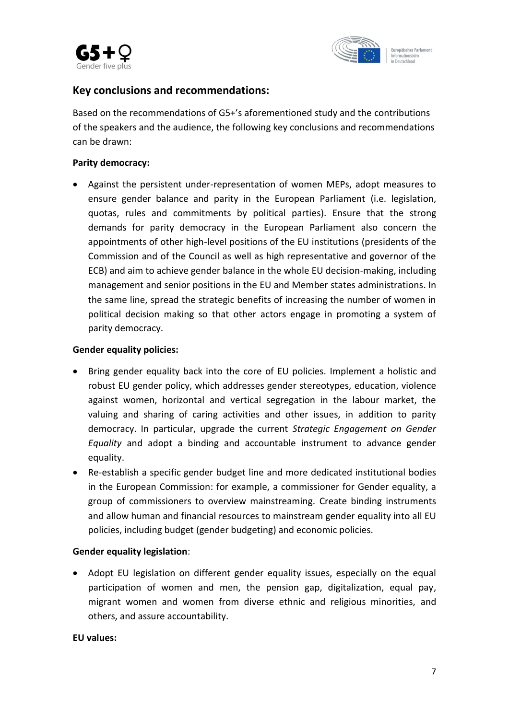



# **Key conclusions and recommendations:**

Based on the recommendations of G5+'s aforementioned study and the contributions of the speakers and the audience, the following key conclusions and recommendations can be drawn:

## **Parity democracy:**

• Against the persistent under-representation of women MEPs, adopt measures to ensure gender balance and parity in the European Parliament (i.e. legislation, quotas, rules and commitments by political parties). Ensure that the strong demands for parity democracy in the European Parliament also concern the appointments of other high-level positions of the EU institutions (presidents of the Commission and of the Council as well as high representative and governor of the ECB) and aim to achieve gender balance in the whole EU decision-making, including management and senior positions in the EU and Member states administrations. In the same line, spread the strategic benefits of increasing the number of women in political decision making so that other actors engage in promoting a system of parity democracy.

## **Gender equality policies:**

- Bring gender equality back into the core of EU policies. Implement a holistic and robust EU gender policy, which addresses gender stereotypes, education, violence against women, horizontal and vertical segregation in the labour market, the valuing and sharing of caring activities and other issues, in addition to parity democracy. In particular, upgrade the current *Strategic Engagement on Gender Equality* and adopt a binding and accountable instrument to advance gender equality.
- Re-establish a specific gender budget line and more dedicated institutional bodies in the European Commission: for example, a commissioner for Gender equality, a group of commissioners to overview mainstreaming. Create binding instruments and allow human and financial resources to mainstream gender equality into all EU policies, including budget (gender budgeting) and economic policies.

## **Gender equality legislation**:

• Adopt EU legislation on different gender equality issues, especially on the equal participation of women and men, the pension gap, digitalization, equal pay, migrant women and women from diverse ethnic and religious minorities, and others, and assure accountability.

## **EU values:**